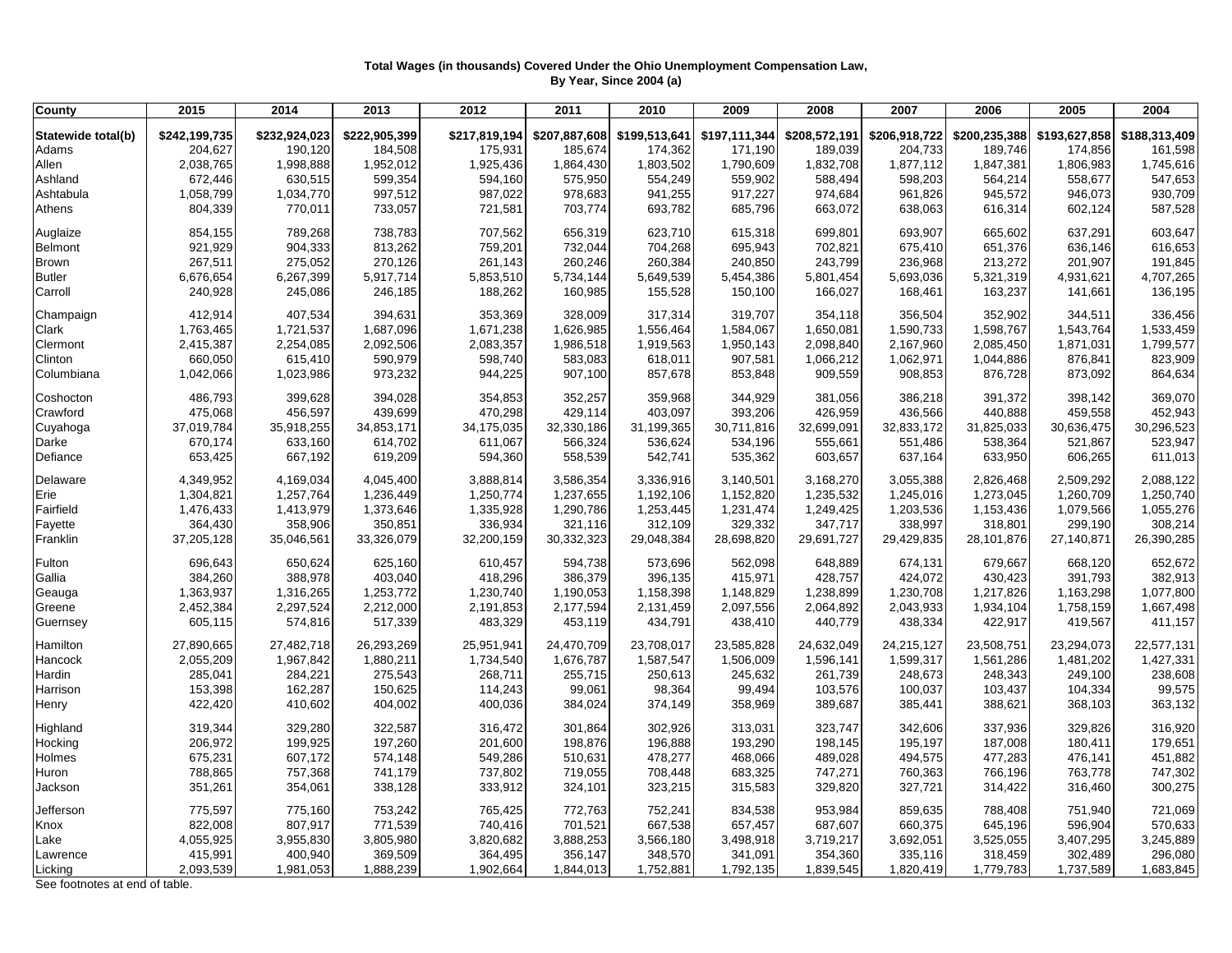## **Total Wages (in thousands) Covered Under the Ohio Unemployment Compensation Law, By Year, Since 2004 (a)**

| <b>County</b>      | 2015          | 2014          | 2013          | 2012          | 2011          | 2010          | 2009          | 2008          | 2007          | 2006          | 2005          | 2004          |
|--------------------|---------------|---------------|---------------|---------------|---------------|---------------|---------------|---------------|---------------|---------------|---------------|---------------|
| Statewide total(b) | \$242,199,735 | \$232,924,023 | \$222,905,399 | \$217,819,194 | \$207,887,608 | \$199,513,641 | \$197,111,344 | \$208,572,191 | \$206,918,722 | \$200,235,388 | \$193,627,858 | \$188,313,409 |
| Adams              | 204,627       | 190,120       | 184,508       | 175,931       | 185,674       | 174,362       | 171,190       | 189,039       | 204,733       | 189,746       | 174,856       | 161,598       |
| Allen              | 2,038,765     | 1,998,888     | 1,952,012     | 1,925,436     | 1,864,430     | 1,803,502     | 1,790,609     | 1,832,708     | 1,877,112     | 1,847,381     | 1,806,983     | 1,745,616     |
| Ashland            | 672,446       | 630,515       | 599,354       | 594,160       | 575,950       | 554,249       | 559,902       | 588,494       | 598,203       | 564,214       | 558,677       | 547,653       |
|                    |               |               |               |               |               |               |               |               |               |               |               | 930,709       |
| Ashtabula          | 1,058,799     | 1,034,770     | 997,512       | 987,022       | 978,683       | 941,255       | 917,227       | 974,684       | 961,826       | 945,572       | 946,073       |               |
| Athens             | 804,339       | 770,011       | 733,057       | 721,581       | 703,774       | 693,782       | 685,796       | 663,072       | 638,063       | 616,314       | 602,124       | 587,528       |
| Auglaize           | 854,155       | 789,268       | 738,783       | 707,562       | 656,319       | 623,710       | 615,318       | 699,801       | 693,907       | 665,602       | 637,291       | 603,647       |
| Belmont            | 921,929       | 904,333       | 813,262       | 759,201       | 732,044       | 704,268       | 695,943       | 702,821       | 675,410       | 651,376       | 636,146       | 616,653       |
| Brown              | 267,511       | 275,052       | 270,126       | 261,143       | 260,246       | 260,384       | 240,850       | 243,799       | 236,968       | 213,272       | 201,907       | 191,845       |
| <b>Butler</b>      | 6,676,654     | 6,267,399     | 5,917,714     | 5,853,510     | 5,734,144     | 5,649,539     | 5,454,386     | 5,801,454     | 5,693,036     | 5,321,319     | 4,931,621     | 4,707,265     |
| Carroll            | 240,928       | 245,086       | 246,185       | 188,262       | 160,985       | 155,528       | 150,100       | 166,027       | 168,461       | 163,237       | 141,661       | 136,195       |
| Champaign          | 412,914       | 407,534       | 394,631       | 353,369       | 328,009       | 317,314       | 319,707       | 354,118       | 356,504       | 352,902       | 344,511       | 336,456       |
| Clark              | 1,763,465     | 1,721,537     | 1,687,096     | 1,671,238     | 1,626,985     | 1,556,464     | 1,584,067     | 1,650,081     | 1,590,733     | 1,598,767     | 1,543,764     | 1,533,459     |
| Clermont           | 2,415,387     | 2,254,085     | 2,092,506     | 2,083,357     | 1,986,518     | 1,919,563     | 1,950,143     | 2,098,840     | 2,167,960     | 2,085,450     | 1,871,031     | 1,799,577     |
| Clinton            | 660,050       | 615,410       | 590,979       | 598,740       | 583,083       | 618,011       | 907,581       | 1,066,212     | 1,062,971     | 1,044,886     | 876,841       | 823,909       |
| Columbiana         | 1,042,066     | 1,023,986     | 973,232       | 944,225       | 907,100       | 857,678       | 853,848       | 909,559       | 908,853       | 876,728       | 873,092       | 864,634       |
| Coshocton          | 486,793       | 399,628       | 394,028       | 354,853       | 352,257       | 359,968       | 344,929       | 381,056       | 386,218       | 391,372       | 398,142       | 369,070       |
| Crawford           | 475,068       | 456,597       | 439,699       | 470,298       | 429,114       | 403,097       | 393,206       | 426,959       | 436,566       | 440,888       | 459,558       | 452,943       |
| Cuyahoga           | 37,019,784    | 35,918,255    | 34,853,171    | 34,175,035    | 32,330,186    | 31,199,365    | 30,711,816    | 32,699,091    | 32,833,172    | 31,825,033    | 30,636,475    | 30,296,523    |
| Darke              | 670,174       | 633,160       | 614,702       | 611,067       | 566,324       | 536,624       | 534,196       | 555,661       | 551,486       | 538,364       | 521,867       | 523,947       |
| Defiance           | 653,425       | 667,192       | 619,209       | 594,360       | 558,539       | 542,741       | 535,362       | 603,657       | 637,164       | 633,950       | 606,265       | 611,013       |
| Delaware           | 4,349,952     | 4,169,034     | 4,045,400     | 3,888,814     | 3,586,354     | 3,336,916     | 3,140,501     | 3,168,270     | 3,055,388     | 2,826,468     | 2,509,292     | 2,088,122     |
| Erie               | 1,304,821     | 1,257,764     | 1,236,449     | 1,250,774     | 1,237,655     | 1,192,106     | 1,152,820     | 1,235,532     | 1,245,016     | 1,273,045     | 1,260,709     | 1,250,740     |
| Fairfield          | 1,476,433     | 1,413,979     | 1,373,646     | 1,335,928     | 1,290,786     | 1,253,445     | 1,231,474     | 1,249,425     | 1,203,536     | 1,153,436     | 1,079,566     | 1,055,276     |
| Fayette            | 364,430       | 358,906       | 350,851       | 336,934       | 321,116       | 312,109       | 329,332       | 347,717       | 338,997       | 318,801       | 299,190       | 308,214       |
| Franklin           | 37,205,128    | 35,046,561    | 33,326,079    | 32,200,159    | 30,332,323    | 29,048,384    | 28,698,820    | 29,691,727    | 29,429,835    | 28,101,876    | 27,140,871    | 26,390,285    |
| Fulton             | 696,643       | 650,624       | 625,160       | 610,457       | 594,738       | 573,696       | 562,098       | 648,889       | 674,131       | 679,667       | 668,120       | 652,672       |
| Gallia             | 384,260       | 388,978       | 403,040       | 418,296       | 386,379       | 396,135       | 415,971       | 428,757       | 424,072       | 430,423       | 391,793       | 382,913       |
| Geauga             | 1,363,937     | 1,316,265     | 1,253,772     | 1,230,740     | 1,190,053     | 1,158,398     | 1,148,829     | 1,238,899     | 1,230,708     | 1,217,826     | 1,163,298     | 1,077,800     |
| Greene             | 2,452,384     | 2,297,524     | 2,212,000     | 2,191,853     | 2,177,594     | 2,131,459     | 2,097,556     | 2,064,892     | 2,043,933     | 1,934,104     | 1,758,159     | 1,667,498     |
| Guernsey           | 605,115       | 574,816       | 517,339       | 483,329       | 453,119       | 434,791       | 438,410       | 440,779       | 438,334       | 422,917       | 419,567       | 411,157       |
| Hamilton           | 27,890,665    | 27,482,718    | 26,293,269    | 25,951,941    | 24,470,709    | 23,708,017    | 23,585,828    | 24,632,049    | 24,215,127    | 23,508,751    | 23,294,073    | 22,577,131    |
| Hancock            | 2,055,209     | 1,967,842     | 1,880,211     | 1,734,540     | 1,676,787     | 1,587,547     | 1,506,009     | 1,596,141     | 1,599,317     | 1,561,286     | 1,481,202     | 1,427,331     |
| Hardin             | 285,041       | 284,221       | 275,543       | 268,711       | 255,715       | 250,613       | 245,632       | 261,739       | 248,673       | 248,343       | 249,100       | 238,608       |
| Harrison           | 153,398       | 162,287       | 150,625       | 114,243       | 99,061        | 98,364        | 99,494        | 103,576       | 100,037       | 103,437       | 104,334       | 99,575        |
| Henry              | 422,420       | 410,602       | 404,002       | 400,036       | 384,024       | 374,149       | 358,969       | 389,687       | 385,441       | 388,621       | 368,103       | 363,132       |
| Highland           | 319,344       | 329,280       | 322,587       | 316,472       | 301,864       | 302,926       | 313,031       | 323,747       | 342,606       | 337,936       | 329,826       | 316,920       |
| Hocking            | 206,972       | 199,925       | 197,260       | 201,600       | 198,876       | 196,888       | 193,290       | 198,145       | 195,197       | 187,008       | 180,411       | 179,651       |
| Holmes             | 675,231       | 607,172       | 574,148       | 549,286       | 510,631       | 478,277       | 468,066       | 489,028       | 494,575       | 477,283       | 476,141       | 451,882       |
| Huron              | 788,865       | 757,368       | 741,179       | 737,802       | 719,055       | 708,448       | 683,325       | 747,271       | 760,363       | 766,196       | 763,778       | 747,302       |
| Jackson            | 351,261       | 354,061       | 338,128       | 333,912       | 324,101       | 323,215       | 315,583       | 329,820       | 327,721       | 314,422       | 316,460       | 300,275       |
| Jefferson          | 775,597       | 775,160       | 753,242       | 765,425       | 772,763       | 752,241       | 834,538       | 953,984       | 859,635       | 788,408       | 751,940       | 721,069       |
| Knox               | 822,008       | 807,917       | 771,539       | 740,416       | 701.521       | 667,538       | 657,457       | 687,607       | 660,375       | 645,196       | 596,904       | 570,633       |
| Lake               | 4,055,925     | 3,955,830     | 3,805,980     | 3,820,682     | 3,888,253     | 3,566,180     | 3,498,918     | 3,719,217     | 3,692,051     | 3,525,055     | 3,407,295     | 3,245,889     |
| Lawrence           | 415,991       | 400,940       | 369,509       | 364,495       | 356,147       |               |               | 354,360       | 335,116       |               | 302,489       | 296,080       |
|                    | 2,093,539     | 1,981,053     | 1,888,239     |               |               | 348,570       | 341,091       |               |               | 318,459       |               |               |
| Licking            |               |               |               | 1,902,664     | 1,844,013     | 1,752,881     | 1,792,135     | 1,839,545     | 1,820,419     | 1,779,783     | 1,737,589     | 1,683,845     |

See footnotes at end of table.